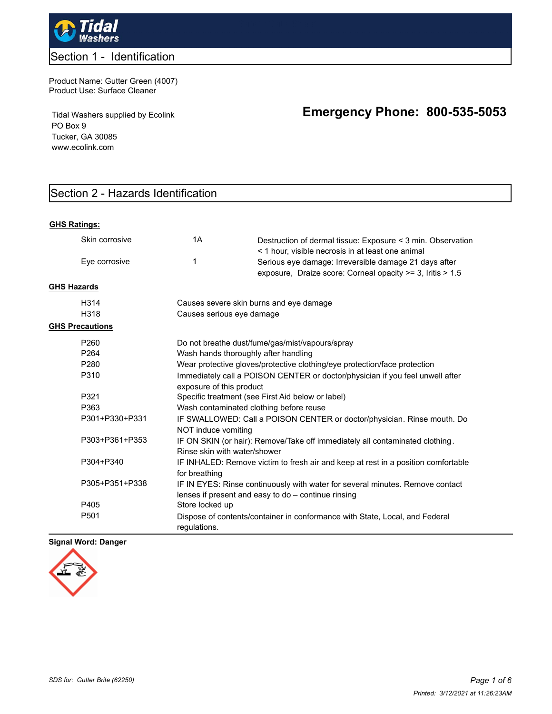

### Section 1 - Identification

Product Name: Gutter Green (4007) Product Use: Surface Cleaner

Tidal Washers supplied by Ecolink PO Box 9 Tucker, GA 30085 www.ecolink.com

# **Emergency Phone: 800-535-5053**

## Section 2 - Hazards Identification

#### **GHS Ratings:**

|                    | Skin corrosive         | 1A                                                                                                           | Destruction of dermal tissue: Exposure < 3 min. Observation<br>< 1 hour, visible necrosis in at least one animal                     |  |
|--------------------|------------------------|--------------------------------------------------------------------------------------------------------------|--------------------------------------------------------------------------------------------------------------------------------------|--|
|                    | Eye corrosive          | 1                                                                                                            | Serious eye damage: Irreversible damage 21 days after<br>exposure, Draize score: Corneal opacity >= 3, Iritis > 1.5                  |  |
| <b>GHS Hazards</b> |                        |                                                                                                              |                                                                                                                                      |  |
|                    | H314                   | Causes severe skin burns and eye damage                                                                      |                                                                                                                                      |  |
|                    | H318                   | Causes serious eye damage                                                                                    |                                                                                                                                      |  |
|                    | <b>GHS Precautions</b> |                                                                                                              |                                                                                                                                      |  |
|                    | P260                   |                                                                                                              | Do not breathe dust/fume/gas/mist/vapours/spray                                                                                      |  |
|                    | P <sub>264</sub>       | Wash hands thoroughly after handling                                                                         |                                                                                                                                      |  |
|                    | P <sub>280</sub>       |                                                                                                              | Wear protective gloves/protective clothing/eye protection/face protection                                                            |  |
|                    | P310                   | exposure of this product                                                                                     | Immediately call a POISON CENTER or doctor/physician if you feel unwell after                                                        |  |
|                    | P321                   | Specific treatment (see First Aid below or label)                                                            |                                                                                                                                      |  |
|                    | P363                   | Wash contaminated clothing before reuse                                                                      |                                                                                                                                      |  |
|                    | P301+P330+P331         | NOT induce vomiting                                                                                          | IF SWALLOWED: Call a POISON CENTER or doctor/physician. Rinse mouth. Do                                                              |  |
|                    | P303+P361+P353         | IF ON SKIN (or hair): Remove/Take off immediately all contaminated clothing.<br>Rinse skin with water/shower |                                                                                                                                      |  |
|                    | P304+P340              | for breathing                                                                                                | IF INHALED: Remove victim to fresh air and keep at rest in a position comfortable                                                    |  |
|                    | P305+P351+P338         |                                                                                                              | IF IN EYES: Rinse continuously with water for several minutes. Remove contact<br>lenses if present and easy to do - continue rinsing |  |
|                    | P405                   | Store locked up                                                                                              |                                                                                                                                      |  |
|                    | P <sub>501</sub>       | requlations.                                                                                                 | Dispose of contents/container in conformance with State, Local, and Federal                                                          |  |

#### **Signal Word: Danger**

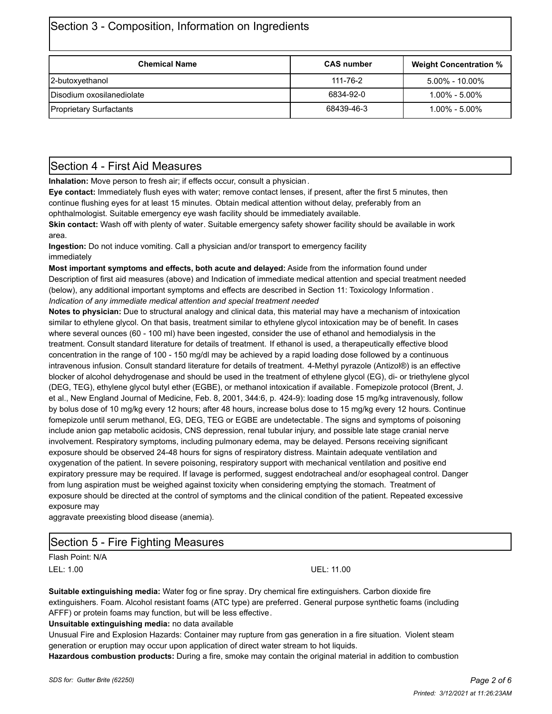|  |  |  | Section 3 - Composition, Information on Ingredients |
|--|--|--|-----------------------------------------------------|
|--|--|--|-----------------------------------------------------|

| <b>Chemical Name</b>           | <b>CAS number</b>              | <b>Weight Concentration %</b> |  |
|--------------------------------|--------------------------------|-------------------------------|--|
| 2-butoxyethanol                | 111-76-2<br>$5.00\% - 10.00\%$ |                               |  |
| Disodium oxosilanediolate      | 6834-92-0                      | $1.00\% - 5.00\%$             |  |
| <b>Proprietary Surfactants</b> | 68439-46-3                     | $1.00\%$ - $5.00\%$           |  |

### Section 4 - First Aid Measures

**Inhalation:** Move person to fresh air; if effects occur, consult a physician.

**Eye contact:** Immediately flush eyes with water; remove contact lenses, if present, after the first 5 minutes, then continue flushing eyes for at least 15 minutes. Obtain medical attention without delay, preferably from an ophthalmologist. Suitable emergency eye wash facility should be immediately available.

**Skin contact:** Wash off with plenty of water. Suitable emergency safety shower facility should be available in work area.

**Ingestion:** Do not induce vomiting. Call a physician and/or transport to emergency facility immediately

**Most important symptoms and effects, both acute and delayed:** Aside from the information found under Description of first aid measures (above) and Indication of immediate medical attention and special treatment needed (below), any additional important symptoms and effects are described in Section 11: Toxicology Information . *Indication of any immediate medical attention and special treatment needed*

**Notes to physician:** Due to structural analogy and clinical data, this material may have a mechanism of intoxication similar to ethylene glycol. On that basis, treatment similar to ethylene glycol intoxication may be of benefit. In cases where several ounces (60 - 100 ml) have been ingested, consider the use of ethanol and hemodialysis in the treatment. Consult standard literature for details of treatment. If ethanol is used, a therapeutically effective blood concentration in the range of 100 - 150 mg/dl may be achieved by a rapid loading dose followed by a continuous intravenous infusion. Consult standard literature for details of treatment. 4-Methyl pyrazole (Antizol®) is an effective blocker of alcohol dehydrogenase and should be used in the treatment of ethylene glycol (EG), di- or triethylene glycol (DEG, TEG), ethylene glycol butyl ether (EGBE), or methanol intoxication if available. Fomepizole protocol (Brent, J. et al., New England Journal of Medicine, Feb. 8, 2001, 344:6, p. 424-9): loading dose 15 mg/kg intravenously, follow by bolus dose of 10 mg/kg every 12 hours; after 48 hours, increase bolus dose to 15 mg/kg every 12 hours. Continue fomepizole until serum methanol, EG, DEG, TEG or EGBE are undetectable. The signs and symptoms of poisoning include anion gap metabolic acidosis, CNS depression, renal tubular injury, and possible late stage cranial nerve involvement. Respiratory symptoms, including pulmonary edema, may be delayed. Persons receiving significant exposure should be observed 24-48 hours for signs of respiratory distress. Maintain adequate ventilation and oxygenation of the patient. In severe poisoning, respiratory support with mechanical ventilation and positive end expiratory pressure may be required. If lavage is performed, suggest endotracheal and/or esophageal control. Danger from lung aspiration must be weighed against toxicity when considering emptying the stomach. Treatment of exposure should be directed at the control of symptoms and the clinical condition of the patient. Repeated excessive exposure may

aggravate preexisting blood disease (anemia).

### Section 5 - Fire Fighting Measures

Flash Point: N/A LEL: 1.00 UEL: 11.00

**Suitable extinguishing media:** Water fog or fine spray. Dry chemical fire extinguishers. Carbon dioxide fire extinguishers. Foam. Alcohol resistant foams (ATC type) are preferred. General purpose synthetic foams (including AFFF) or protein foams may function, but will be less effective.

**Unsuitable extinguishing media:** no data available

Unusual Fire and Explosion Hazards: Container may rupture from gas generation in a fire situation. Violent steam generation or eruption may occur upon application of direct water stream to hot liquids.

**Hazardous combustion products:** During a fire, smoke may contain the original material in addition to combustion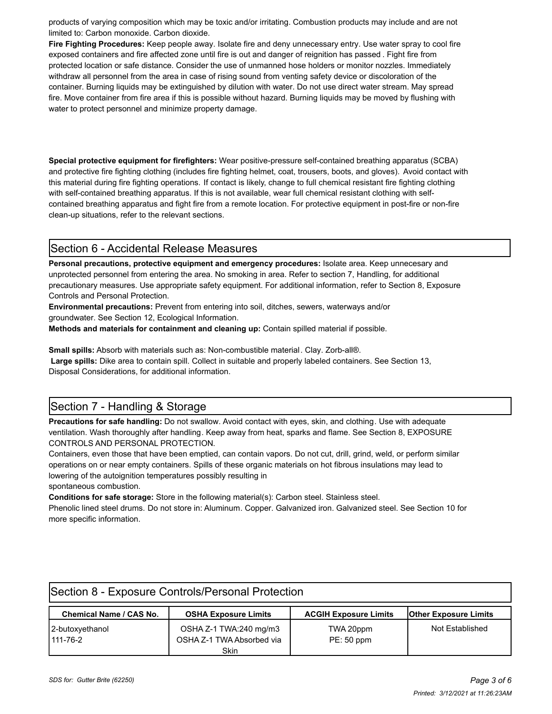products of varying composition which may be toxic and/or irritating. Combustion products may include and are not limited to: Carbon monoxide. Carbon dioxide.

**Fire Fighting Procedures:** Keep people away. Isolate fire and deny unnecessary entry. Use water spray to cool fire exposed containers and fire affected zone until fire is out and danger of reignition has passed . Fight fire from protected location or safe distance. Consider the use of unmanned hose holders or monitor nozzles. Immediately withdraw all personnel from the area in case of rising sound from venting safety device or discoloration of the container. Burning liquids may be extinguished by dilution with water. Do not use direct water stream. May spread fire. Move container from fire area if this is possible without hazard. Burning liquids may be moved by flushing with water to protect personnel and minimize property damage.

**Special protective equipment for firefighters:** Wear positive-pressure self-contained breathing apparatus (SCBA) and protective fire fighting clothing (includes fire fighting helmet, coat, trousers, boots, and gloves). Avoid contact with this material during fire fighting operations. If contact is likely, change to full chemical resistant fire fighting clothing with self-contained breathing apparatus. If this is not available, wear full chemical resistant clothing with selfcontained breathing apparatus and fight fire from a remote location. For protective equipment in post-fire or non-fire clean-up situations, refer to the relevant sections.

### Section 6 - Accidental Release Measures

**Personal precautions, protective equipment and emergency procedures:** Isolate area. Keep unnecesary and unprotected personnel from entering the area. No smoking in area. Refer to section 7, Handling, for additional precautionary measures. Use appropriate safety equipment. For additional information, refer to Section 8, Exposure Controls and Personal Protection.

**Environmental precautions:** Prevent from entering into soil, ditches, sewers, waterways and/or groundwater. See Section 12, Ecological Information.

**Methods and materials for containment and cleaning up:** Contain spilled material if possible.

**Small spills:** Absorb with materials such as: Non-combustible material. Clay. Zorb-all®.  **Large spills:** Dike area to contain spill. Collect in suitable and properly labeled containers. See Section 13, Disposal Considerations, for additional information.

## Section 7 - Handling & Storage

**Precautions for safe handling:** Do not swallow. Avoid contact with eyes, skin, and clothing. Use with adequate ventilation. Wash thoroughly after handling. Keep away from heat, sparks and flame. See Section 8, EXPOSURE CONTROLS AND PERSONAL PROTECTION.

Containers, even those that have been emptied, can contain vapors. Do not cut, drill, grind, weld, or perform similar operations on or near empty containers. Spills of these organic materials on hot fibrous insulations may lead to lowering of the autoignition temperatures possibly resulting in

spontaneous combustion.

**Conditions for safe storage:** Store in the following material(s): Carbon steel. Stainless steel.

Phenolic lined steel drums. Do not store in: Aluminum. Copper. Galvanized iron. Galvanized steel. See Section 10 for more specific information.

| Section 8 - Exposure Controls/Personal Protection |                                                     |                              |                              |  |  |
|---------------------------------------------------|-----------------------------------------------------|------------------------------|------------------------------|--|--|
| Chemical Name / CAS No.                           | <b>OSHA Exposure Limits</b>                         | <b>ACGIH Exposure Limits</b> | <b>Other Exposure Limits</b> |  |  |
| 2-butoxyethanol<br>$111 - 76 - 2$                 | OSHA Z-1 TWA:240 mg/m3<br>OSHA Z-1 TWA Absorbed via | TWA 20ppm<br>$PE: 50$ ppm    | Not Established              |  |  |
|                                                   | Skin                                                |                              |                              |  |  |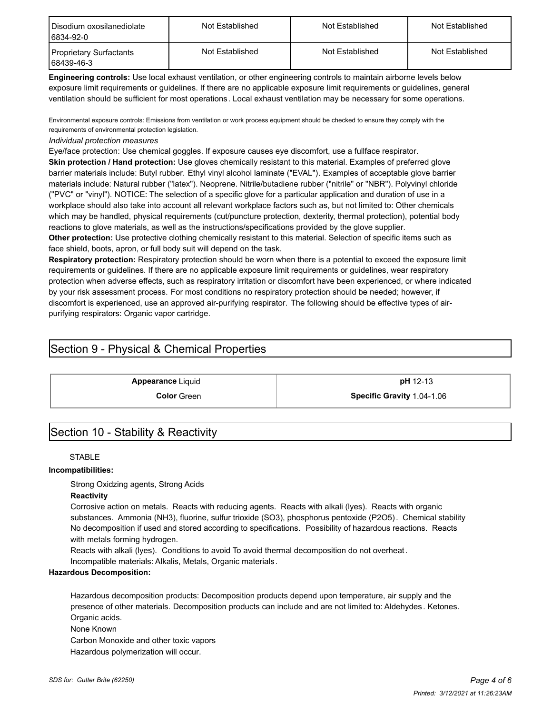| I Disodium oxosilanediolate<br>6834-92-0 | Not Established | Not Established | Not Established |  |
|------------------------------------------|-----------------|-----------------|-----------------|--|
| Proprietary Surfactants<br>68439-46-3    | Not Established | Not Established | Not Established |  |

**Engineering controls:** Use local exhaust ventilation, or other engineering controls to maintain airborne levels below exposure limit requirements or guidelines. If there are no applicable exposure limit requirements or guidelines, general ventilation should be sufficient for most operations. Local exhaust ventilation may be necessary for some operations.

Environmental exposure controls: Emissions from ventilation or work process equipment should be checked to ensure they comply with the requirements of environmental protection legislation.

#### *Individual protection measures*

Eye/face protection: Use chemical goggles. If exposure causes eye discomfort, use a fullface respirator.

**Skin protection / Hand protection:** Use gloves chemically resistant to this material. Examples of preferred glove barrier materials include: Butyl rubber. Ethyl vinyl alcohol laminate ("EVAL"). Examples of acceptable glove barrier materials include: Natural rubber ("latex"). Neoprene. Nitrile/butadiene rubber ("nitrile" or "NBR"). Polyvinyl chloride ("PVC" or "vinyl"). NOTICE: The selection of a specific glove for a particular application and duration of use in a workplace should also take into account all relevant workplace factors such as, but not limited to: Other chemicals which may be handled, physical requirements (cut/puncture protection, dexterity, thermal protection), potential body reactions to glove materials, as well as the instructions/specifications provided by the glove supplier. **Other protection:** Use protective clothing chemically resistant to this material. Selection of specific items such as

face shield, boots, apron, or full body suit will depend on the task.

**Respiratory protection:** Respiratory protection should be worn when there is a potential to exceed the exposure limit requirements or guidelines. If there are no applicable exposure limit requirements or guidelines, wear respiratory protection when adverse effects, such as respiratory irritation or discomfort have been experienced, or where indicated by your risk assessment process. For most conditions no respiratory protection should be needed; however, if discomfort is experienced, use an approved air-purifying respirator. The following should be effective types of airpurifying respirators: Organic vapor cartridge.

### Section 9 - Physical & Chemical Properties

**Appearance** Liquid **pH** 12-13

**Color** Green **Specific Gravity** 1.04-1.06

### Section 10 - Stability & Reactivity

#### **STABLE**

#### **Incompatibilities:**

Strong Oxidzing agents, Strong Acids

#### **Reactivity**

Corrosive action on metals. Reacts with reducing agents. Reacts with alkali (lyes). Reacts with organic substances. Ammonia (NH3), fluorine, sulfur trioxide (SO3), phosphorus pentoxide (P2O5). Chemical stability No decomposition if used and stored according to specifications.Possibility of hazardous reactions. Reacts with metals forming hydrogen.

Reacts with alkali (lyes). Conditions to avoid To avoid thermal decomposition do not overheat.

Incompatible materials: Alkalis, Metals, Organic materials.

#### **Hazardous Decomposition:**

Hazardous decomposition products: Decomposition products depend upon temperature, air supply and the presence of other materials. Decomposition products can include and are not limited to: Aldehydes . Ketones. Organic acids.

None Known

Carbon Monoxide and other toxic vapors Hazardous polymerization will occur.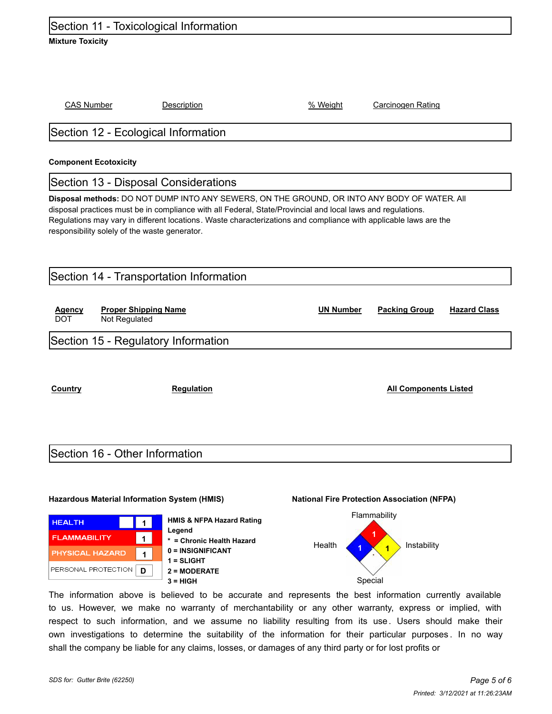### Section 11 - Toxicological Information

#### **Mixture Toxicity**

CAS Number Description % Weight Carcinogen Rating

### Section 12 - Ecological Information

#### **Component Ecotoxicity**

### Section 13 - Disposal Considerations

**Disposal methods:** DO NOT DUMP INTO ANY SEWERS, ON THE GROUND, OR INTO ANY BODY OF WATER. All disposal practices must be in compliance with all Federal, State/Provincial and local laws and regulations. Regulations may vary in different locations. Waste characterizations and compliance with applicable laws are the responsibility solely of the waste generator.

| Section 14 - Transportation Information |                                              |                  |                      |                     |  |
|-----------------------------------------|----------------------------------------------|------------------|----------------------|---------------------|--|
| <b>Agency</b><br><b>DOT</b>             | <b>Proper Shipping Name</b><br>Not Regulated | <b>UN Number</b> | <b>Packing Group</b> | <b>Hazard Class</b> |  |
| Section 15 - Regulatory Information     |                                              |                  |                      |                     |  |
|                                         |                                              |                  |                      |                     |  |

**Country Regulation Regulation Regulation All Components Listed** 

### Section 16 - Other Information

#### **Hazardous Material Information System (HMIS) National Fire Protection Association (NFPA)**



**HMIS & NFPA Hazard Rating Legend \* = Chronic Health Hazard 0 = INSIGNIFICANT 1 = SLIGHT 2 = MODERATE 3 = HIGH** Special



The information above is believed to be accurate and represents the best information currently available to us. However, we make no warranty of merchantability or any other warranty, express or implied, with respect to such information, and we assume no liability resulting from its use. Users should make their own investigations to determine the suitability of the information for their particular purposes . In no way shall the company be liable for any claims, losses, or damages of any third party or for lost profits or